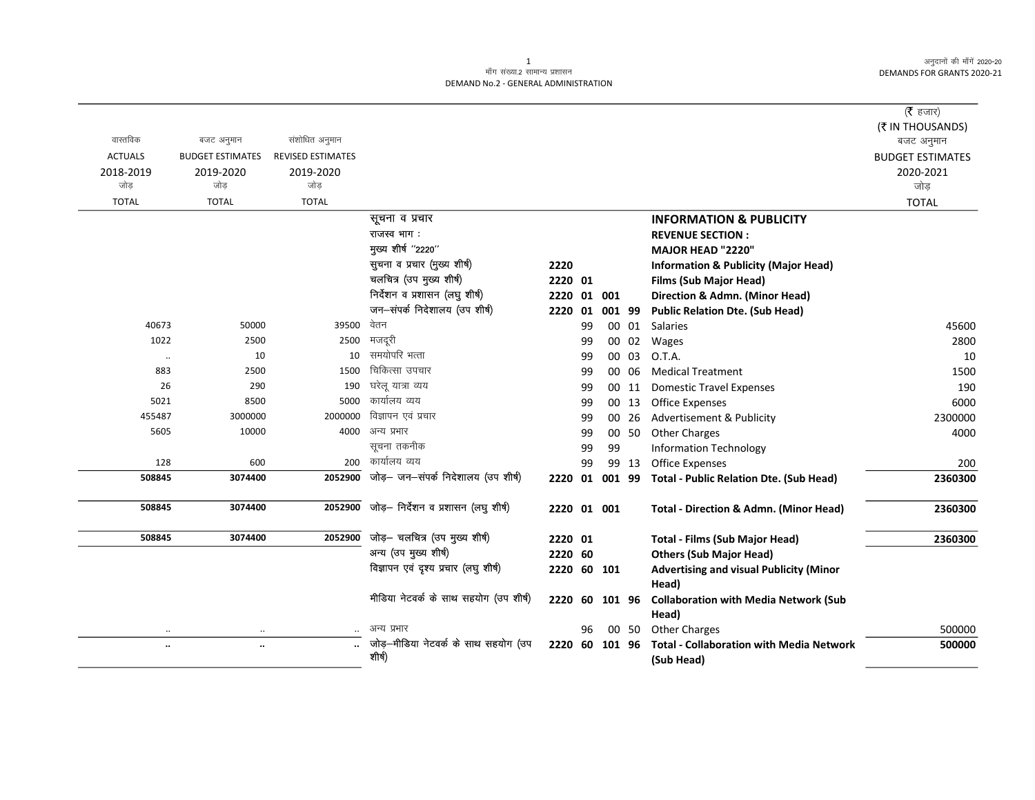अनुदानों की माँगें 2020-20 DEMANDS FOR GRANTS 2020-21

## .<br>माँग संख्या.2 सामान्य प्रशासन DEMAND No.2 - GENERAL ADMINISTRATION

|                |                         |                          |                                        |             |     |        |       |                                                   | ( $\bar{\tau}$ हजार)           |
|----------------|-------------------------|--------------------------|----------------------------------------|-------------|-----|--------|-------|---------------------------------------------------|--------------------------------|
| वास्तविक       | बजट अनुमान              | संशोधित अनुमान           |                                        |             |     |        |       |                                                   | (₹ IN THOUSANDS)<br>बजट अनुमान |
| <b>ACTUALS</b> | <b>BUDGET ESTIMATES</b> | <b>REVISED ESTIMATES</b> |                                        |             |     |        |       |                                                   | <b>BUDGET ESTIMATES</b>        |
| 2018-2019      | 2019-2020               | 2019-2020                |                                        |             |     |        |       |                                                   | 2020-2021                      |
| जोड            | जोड                     | जोड                      |                                        |             |     |        |       |                                                   | जोड़                           |
| <b>TOTAL</b>   | <b>TOTAL</b>            | <b>TOTAL</b>             |                                        |             |     |        |       |                                                   | <b>TOTAL</b>                   |
|                |                         |                          | सूचना व प्रचार                         |             |     |        |       | <b>INFORMATION &amp; PUBLICITY</b>                |                                |
|                |                         |                          | राजस्व भाग:                            |             |     |        |       | <b>REVENUE SECTION:</b>                           |                                |
|                |                         |                          | मुख्य शीर्ष "2220"                     |             |     |        |       | <b>MAJOR HEAD "2220"</b>                          |                                |
|                |                         |                          | सूचना व प्रचार (मुख्य शीर्ष)           | 2220        |     |        |       | <b>Information &amp; Publicity (Major Head)</b>   |                                |
|                |                         |                          | चलचित्र (उप मुख्य शीर्ष)               | 2220 01     |     |        |       | <b>Films (Sub Major Head)</b>                     |                                |
|                |                         |                          | निर्देशन व प्रशासन (लघु शीर्ष)         | 2220        |     | 01 001 |       | Direction & Admn. (Minor Head)                    |                                |
|                |                         |                          | जन-संपर्क निदेशालय (उप शीर्ष)          | 2220        | 01  | 001 99 |       | <b>Public Relation Dte. (Sub Head)</b>            |                                |
| 40673          | 50000                   | 39500                    | वेतन                                   |             | 99  |        | 00 01 | Salaries                                          | 45600                          |
| 1022           | 2500                    | 2500                     | मजदूरी                                 |             | 99  |        | 00 02 | Wages                                             | 2800                           |
| $\ldots$       | 10                      | 10                       | समयोपरि भत्ता                          |             | 99  |        | 00 03 | O.T.A.                                            | 10                             |
| 883            | 2500                    | 1500                     | चिकित्सा उपचार                         |             | 99  |        | 00 06 | <b>Medical Treatment</b>                          | 1500                           |
| 26             | 290                     | 190                      | घरेलू यात्रा व्यय                      |             | 99  |        | 00 11 | <b>Domestic Travel Expenses</b>                   | 190                            |
| 5021           | 8500                    | 5000                     | कार्यालय व्यय                          |             | 99  |        | 00 13 | Office Expenses                                   | 6000                           |
| 455487         | 3000000                 | 2000000                  | विज्ञापन एवं प्रचार                    |             | 99  |        | 00 26 | Advertisement & Publicity                         | 2300000                        |
| 5605           | 10000                   |                          | 4000 अन्य प्रभार                       |             | 99  |        | 00 50 | <b>Other Charges</b>                              | 4000                           |
|                |                         |                          | सूचना तकनीक                            |             | 99  | 99     |       | <b>Information Technology</b>                     |                                |
| 128            | 600                     |                          | 200 कार्यालय व्यय                      |             | 99  |        | 99 13 | <b>Office Expenses</b>                            | 200                            |
| 508845         | 3074400                 | 2052900                  | जोड़- जन-संपर्क निदेशालय (उप शीर्ष)    | 2220        | 01  | 001 99 |       | <b>Total - Public Relation Dte. (Sub Head)</b>    | 2360300                        |
| 508845         | 3074400                 | 2052900                  | जोड़- निर्देशन व प्रशासन (लघु शीर्ष)   | 2220 01 001 |     |        |       | <b>Total - Direction &amp; Admn. (Minor Head)</b> | 2360300                        |
| 508845         | 3074400                 | 2052900                  | जोड़- चलचित्र (उप मुख्य शीर्ष)         | 2220 01     |     |        |       | <b>Total - Films (Sub Major Head)</b>             | 2360300                        |
|                |                         |                          | अन्य (उप मुख्य शीर्ष)                  | 2220 60     |     |        |       | <b>Others (Sub Major Head)</b>                    |                                |
|                |                         |                          | विज्ञापन एवं दृश्य प्रचार (लघु शीर्ष)  | 2220 60 101 |     |        |       | <b>Advertising and visual Publicity (Minor</b>    |                                |
|                |                         |                          |                                        |             |     |        |       | Head)                                             |                                |
|                |                         |                          | मीडिया नेटवर्क के साथ सहयोग (उप शीर्ष) | 2220        | -60 | 101 96 |       | <b>Collaboration with Media Network (Sub</b>      |                                |
|                |                         |                          |                                        |             |     |        |       | Head)                                             |                                |
|                | $\cdot \cdot$           |                          | अन्य प्रभार                            |             | 96  |        | 00 50 | <b>Other Charges</b>                              | 500000                         |
| $\ldots$       | $\ddotsc$               |                          | जोड़–मीडिया नेटवर्क के साथ सहयोग (उप   | 2220 60     |     | 101 96 |       | <b>Total - Collaboration with Media Network</b>   | 500000                         |
|                |                         |                          | शीर्ष)                                 |             |     |        |       | (Sub Head)                                        |                                |

 $\mathbf{1}$